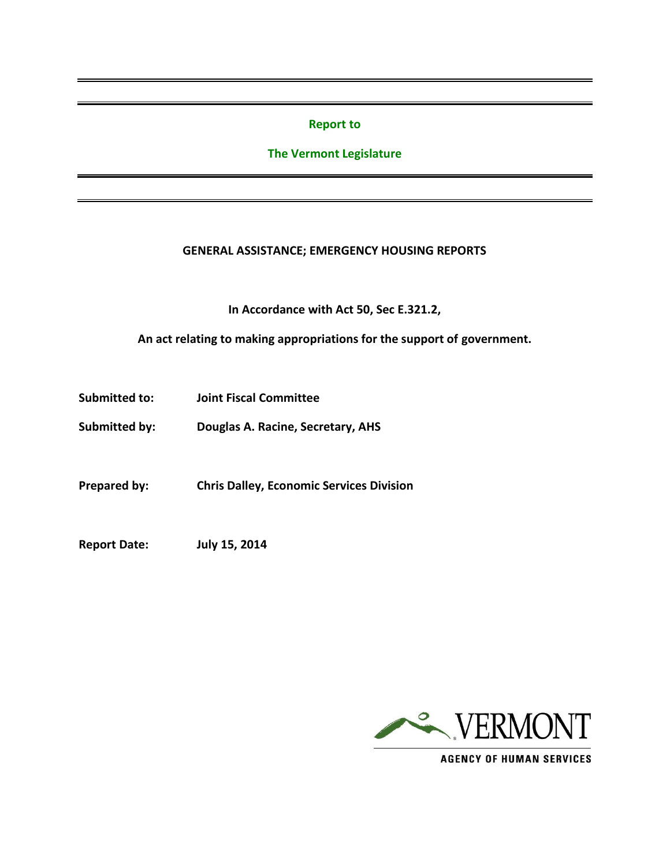#### **Report to**

## **The Vermont Legislature**

#### **GENERAL ASSISTANCE; EMERGENCY HOUSING REPORTS**

**In Accordance with Act 50, Sec E.321.2,**

**An act relating to making appropriations for the support of government.**

- **Submitted to: Joint Fiscal Committee**
- **Submitted by: Douglas A. Racine, Secretary, AHS**

**Prepared by: Chris Dalley, Economic Services Division**

**Report Date: July 15, 2014**



**AGENCY OF HUMAN SERVICES**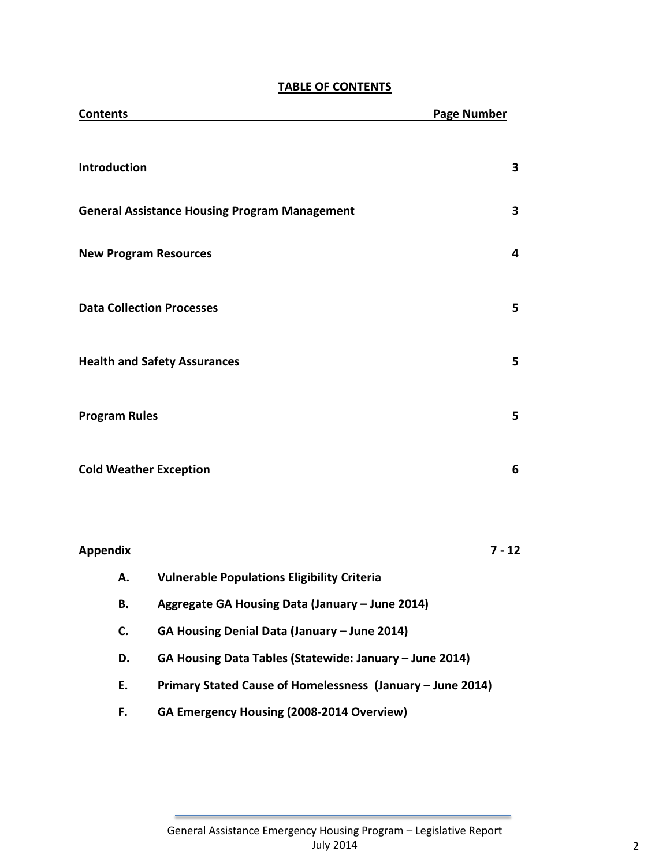# **TABLE OF CONTENTS**

| <b>Contents</b>                  |                                                            | <b>Page Number</b> |
|----------------------------------|------------------------------------------------------------|--------------------|
| Introduction                     |                                                            | 3                  |
|                                  | <b>General Assistance Housing Program Management</b>       | 3                  |
| <b>New Program Resources</b>     |                                                            | 4                  |
| <b>Data Collection Processes</b> |                                                            | 5                  |
|                                  | <b>Health and Safety Assurances</b>                        | 5                  |
| <b>Program Rules</b>             |                                                            | 5                  |
| <b>Cold Weather Exception</b>    |                                                            | 6                  |
|                                  |                                                            |                    |
| <b>Appendix</b>                  |                                                            | $7 - 12$           |
| А.                               | <b>Vulnerable Populations Eligibility Criteria</b>         |                    |
| В.                               | Aggregate GA Housing Data (January - June 2014)            |                    |
| C.                               | GA Housing Denial Data (January - June 2014)               |                    |
| D.                               | GA Housing Data Tables (Statewide: January - June 2014)    |                    |
| E.                               | Primary Stated Cause of Homelessness (January - June 2014) |                    |
| F.                               | GA Emergency Housing (2008-2014 Overview)                  |                    |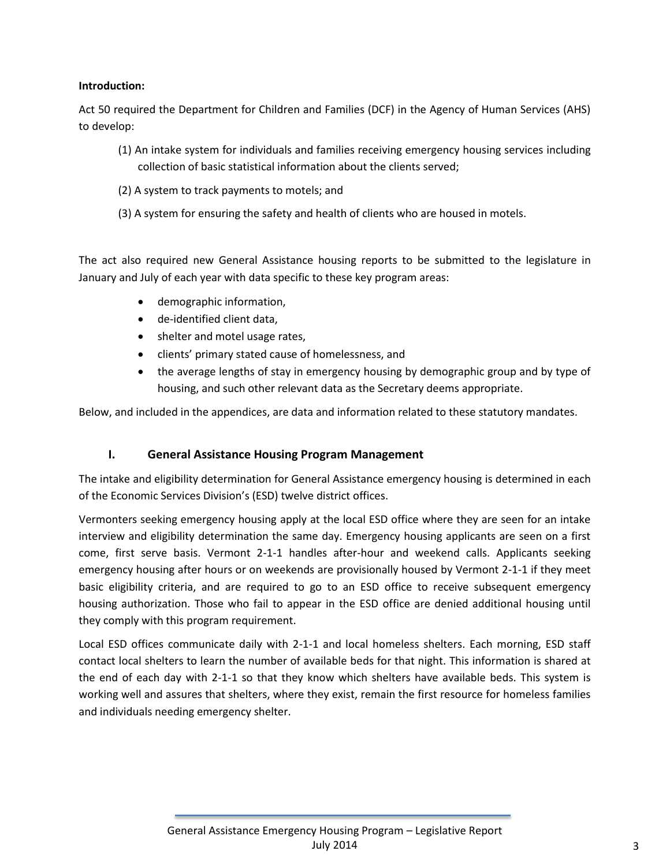## **Introduction:**

Act 50 required the Department for Children and Families (DCF) in the Agency of Human Services (AHS) to develop:

- (1) An intake system for individuals and families receiving emergency housing services including collection of basic statistical information about the clients served;
- (2) A system to track payments to motels; and
- (3) A system for ensuring the safety and health of clients who are housed in motels.

The act also required new General Assistance housing reports to be submitted to the legislature in January and July of each year with data specific to these key program areas:

- demographic information,
- de-identified client data,
- shelter and motel usage rates,
- clients' primary stated cause of homelessness, and
- the average lengths of stay in emergency housing by demographic group and by type of housing, and such other relevant data as the Secretary deems appropriate.

Below, and included in the appendices, are data and information related to these statutory mandates.

## **I. General Assistance Housing Program Management**

The intake and eligibility determination for General Assistance emergency housing is determined in each of the Economic Services Division's (ESD) twelve district offices.

Vermonters seeking emergency housing apply at the local ESD office where they are seen for an intake interview and eligibility determination the same day. Emergency housing applicants are seen on a first come, first serve basis. Vermont 2-1-1 handles after-hour and weekend calls. Applicants seeking emergency housing after hours or on weekends are provisionally housed by Vermont 2-1-1 if they meet basic eligibility criteria, and are required to go to an ESD office to receive subsequent emergency housing authorization. Those who fail to appear in the ESD office are denied additional housing until they comply with this program requirement.

Local ESD offices communicate daily with 2-1-1 and local homeless shelters. Each morning, ESD staff contact local shelters to learn the number of available beds for that night. This information is shared at the end of each day with 2-1-1 so that they know which shelters have available beds. This system is working well and assures that shelters, where they exist, remain the first resource for homeless families and individuals needing emergency shelter.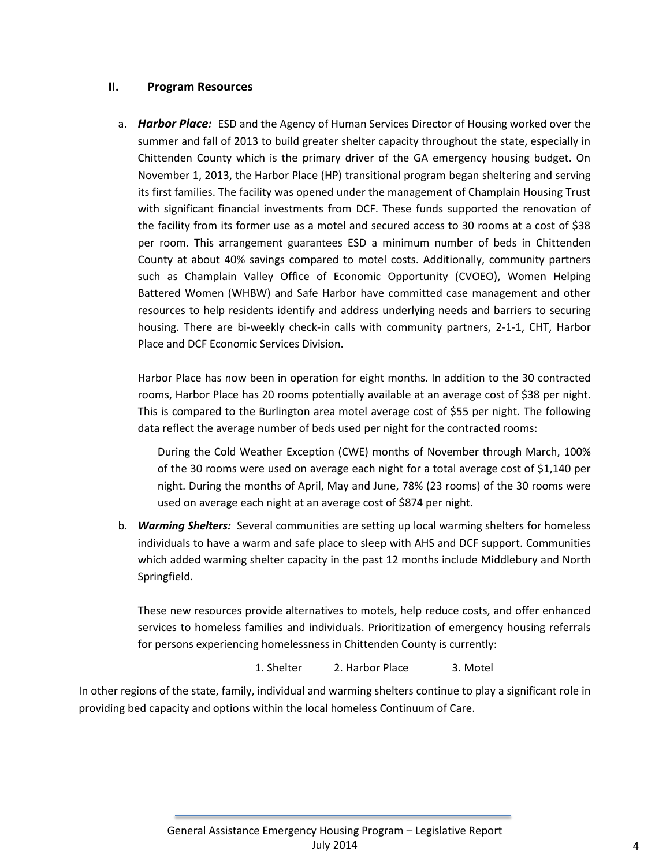#### **II. Program Resources**

a. *Harbor Place:* ESD and the Agency of Human Services Director of Housing worked over the summer and fall of 2013 to build greater shelter capacity throughout the state, especially in Chittenden County which is the primary driver of the GA emergency housing budget. On November 1, 2013, the Harbor Place (HP) transitional program began sheltering and serving its first families. The facility was opened under the management of Champlain Housing Trust with significant financial investments from DCF. These funds supported the renovation of the facility from its former use as a motel and secured access to 30 rooms at a cost of \$38 per room. This arrangement guarantees ESD a minimum number of beds in Chittenden County at about 40% savings compared to motel costs. Additionally, community partners such as Champlain Valley Office of Economic Opportunity (CVOEO), Women Helping Battered Women (WHBW) and Safe Harbor have committed case management and other resources to help residents identify and address underlying needs and barriers to securing housing. There are bi-weekly check-in calls with community partners, 2-1-1, CHT, Harbor Place and DCF Economic Services Division.

Harbor Place has now been in operation for eight months. In addition to the 30 contracted rooms, Harbor Place has 20 rooms potentially available at an average cost of \$38 per night. This is compared to the Burlington area motel average cost of \$55 per night. The following data reflect the average number of beds used per night for the contracted rooms:

During the Cold Weather Exception (CWE) months of November through March, 100% of the 30 rooms were used on average each night for a total average cost of \$1,140 per night. During the months of April, May and June, 78% (23 rooms) of the 30 rooms were used on average each night at an average cost of \$874 per night.

b. *Warming Shelters:* Several communities are setting up local warming shelters for homeless individuals to have a warm and safe place to sleep with AHS and DCF support. Communities which added warming shelter capacity in the past 12 months include Middlebury and North Springfield.

These new resources provide alternatives to motels, help reduce costs, and offer enhanced services to homeless families and individuals. Prioritization of emergency housing referrals for persons experiencing homelessness in Chittenden County is currently:

1. Shelter 2. Harbor Place 3. Motel

In other regions of the state, family, individual and warming shelters continue to play a significant role in providing bed capacity and options within the local homeless Continuum of Care.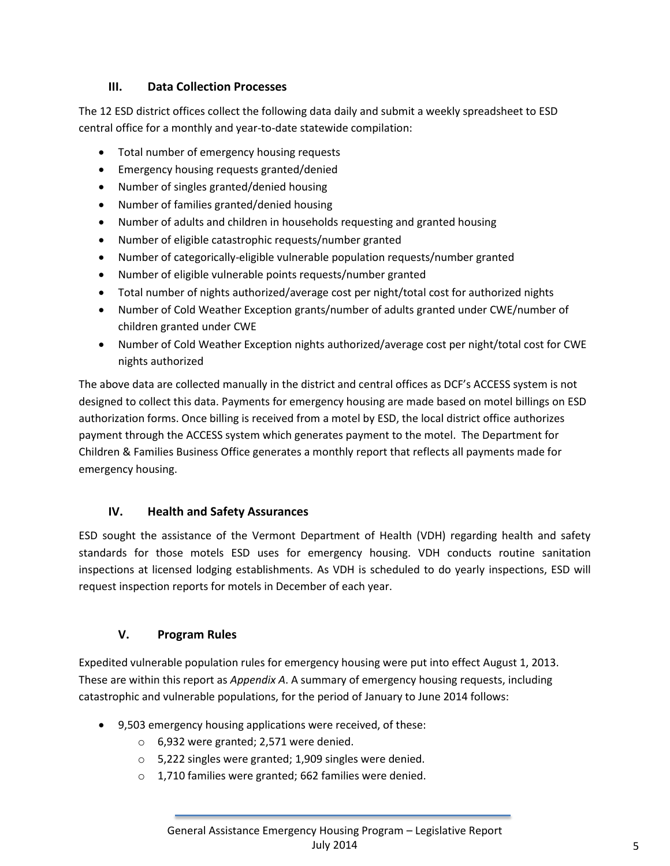# **III. Data Collection Processes**

The 12 ESD district offices collect the following data daily and submit a weekly spreadsheet to ESD central office for a monthly and year-to-date statewide compilation:

- Total number of emergency housing requests
- Emergency housing requests granted/denied
- Number of singles granted/denied housing
- Number of families granted/denied housing
- Number of adults and children in households requesting and granted housing
- Number of eligible catastrophic requests/number granted
- Number of categorically-eligible vulnerable population requests/number granted
- Number of eligible vulnerable points requests/number granted
- Total number of nights authorized/average cost per night/total cost for authorized nights
- Number of Cold Weather Exception grants/number of adults granted under CWE/number of children granted under CWE
- Number of Cold Weather Exception nights authorized/average cost per night/total cost for CWE nights authorized

The above data are collected manually in the district and central offices as DCF's ACCESS system is not designed to collect this data. Payments for emergency housing are made based on motel billings on ESD authorization forms. Once billing is received from a motel by ESD, the local district office authorizes payment through the ACCESS system which generates payment to the motel. The Department for Children & Families Business Office generates a monthly report that reflects all payments made for emergency housing.

# **IV. Health and Safety Assurances**

ESD sought the assistance of the Vermont Department of Health (VDH) regarding health and safety standards for those motels ESD uses for emergency housing. VDH conducts routine sanitation inspections at licensed lodging establishments. As VDH is scheduled to do yearly inspections, ESD will request inspection reports for motels in December of each year.

# **V. Program Rules**

Expedited vulnerable population rules for emergency housing were put into effect August 1, 2013. These are within this report as *Appendix A*. A summary of emergency housing requests, including catastrophic and vulnerable populations, for the period of January to June 2014 follows:

- 9,503 emergency housing applications were received, of these:
	- o 6,932 were granted; 2,571 were denied.
	- o 5,222 singles were granted; 1,909 singles were denied.
	- o 1,710 families were granted; 662 families were denied.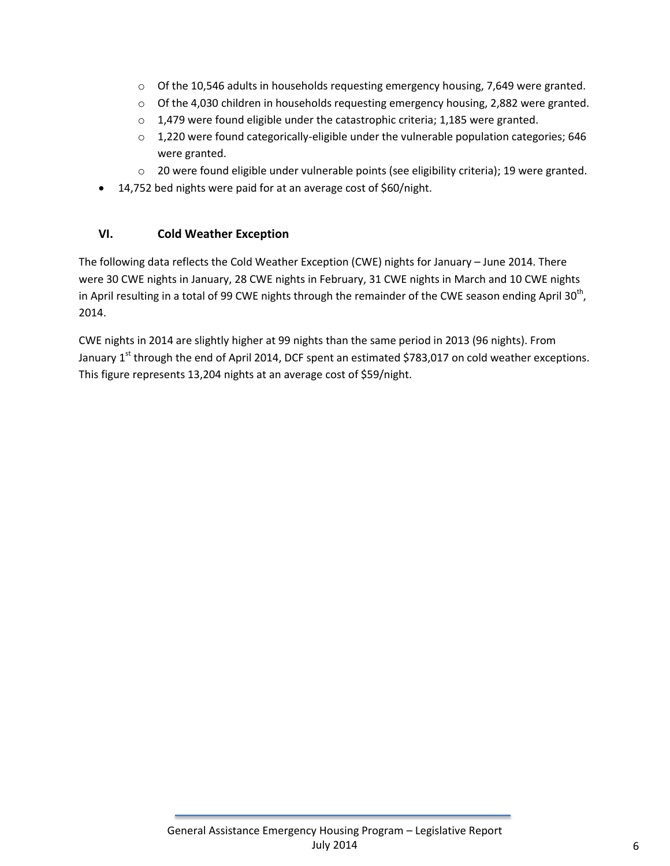- $\circ$  Of the 10,546 adults in households requesting emergency housing, 7,649 were granted.
- o Of the 4,030 children in households requesting emergency housing, 2,882 were granted.
- o 1,479 were found eligible under the catastrophic criteria; 1,185 were granted.
- $\circ$  1,220 were found categorically-eligible under the vulnerable population categories; 646 were granted.
- o 20 were found eligible under vulnerable points (see eligibility criteria); 19 were granted.
- 14,752 bed nights were paid for at an average cost of \$60/night.

# **VI. Cold Weather Exception**

The following data reflects the Cold Weather Exception (CWE) nights for January – June 2014. There were 30 CWE nights in January, 28 CWE nights in February, 31 CWE nights in March and 10 CWE nights in April resulting in a total of 99 CWE nights through the remainder of the CWE season ending April 30<sup>th</sup>, 2014.

CWE nights in 2014 are slightly higher at 99 nights than the same period in 2013 (96 nights). From January 1<sup>st</sup> through the end of April 2014, DCF spent an estimated \$783,017 on cold weather exceptions. This figure represents 13,204 nights at an average cost of \$59/night.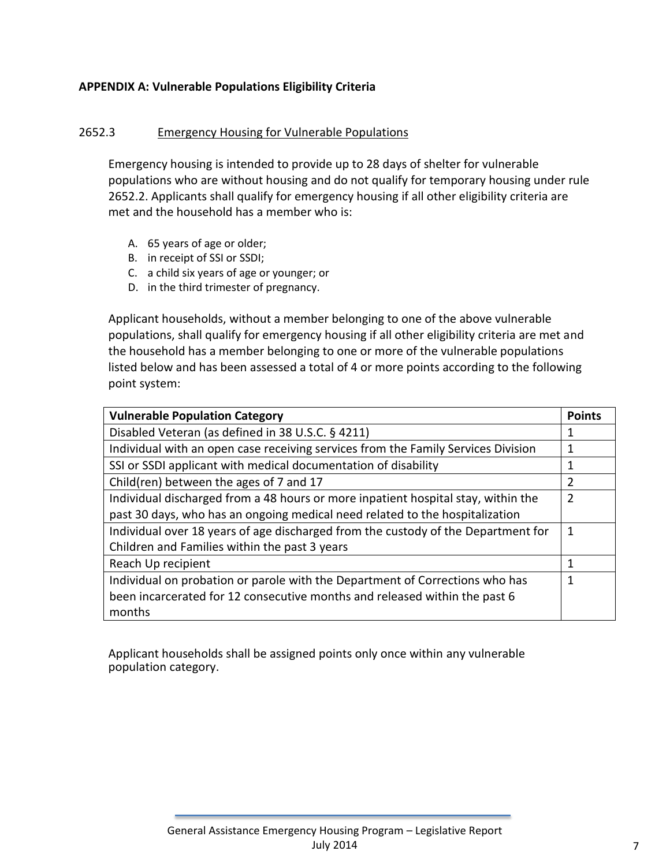## **APPENDIX A: Vulnerable Populations Eligibility Criteria**

## 2652.3 Emergency Housing for Vulnerable Populations

Emergency housing is intended to provide up to 28 days of shelter for vulnerable populations who are without housing and do not qualify for temporary housing under rule 2652.2. Applicants shall qualify for emergency housing if all other eligibility criteria are met and the household has a member who is:

- A. 65 years of age or older;
- B. in receipt of SSI or SSDI;
- C. a child six years of age or younger; or
- D. in the third trimester of pregnancy.

Applicant households, without a member belonging to one of the above vulnerable populations, shall qualify for emergency housing if all other eligibility criteria are met and the household has a member belonging to one or more of the vulnerable populations listed below and has been assessed a total of 4 or more points according to the following point system:

| <b>Vulnerable Population Category</b>                                             | <b>Points</b> |
|-----------------------------------------------------------------------------------|---------------|
| Disabled Veteran (as defined in 38 U.S.C. § 4211)                                 |               |
| Individual with an open case receiving services from the Family Services Division | 1             |
| SSI or SSDI applicant with medical documentation of disability                    |               |
| Child(ren) between the ages of 7 and 17                                           | 2             |
| Individual discharged from a 48 hours or more inpatient hospital stay, within the | 2             |
| past 30 days, who has an ongoing medical need related to the hospitalization      |               |
| Individual over 18 years of age discharged from the custody of the Department for | 1             |
| Children and Families within the past 3 years                                     |               |
| Reach Up recipient                                                                |               |
| Individual on probation or parole with the Department of Corrections who has      |               |
| been incarcerated for 12 consecutive months and released within the past 6        |               |
| months                                                                            |               |

Applicant households shall be assigned points only once within any vulnerable population category.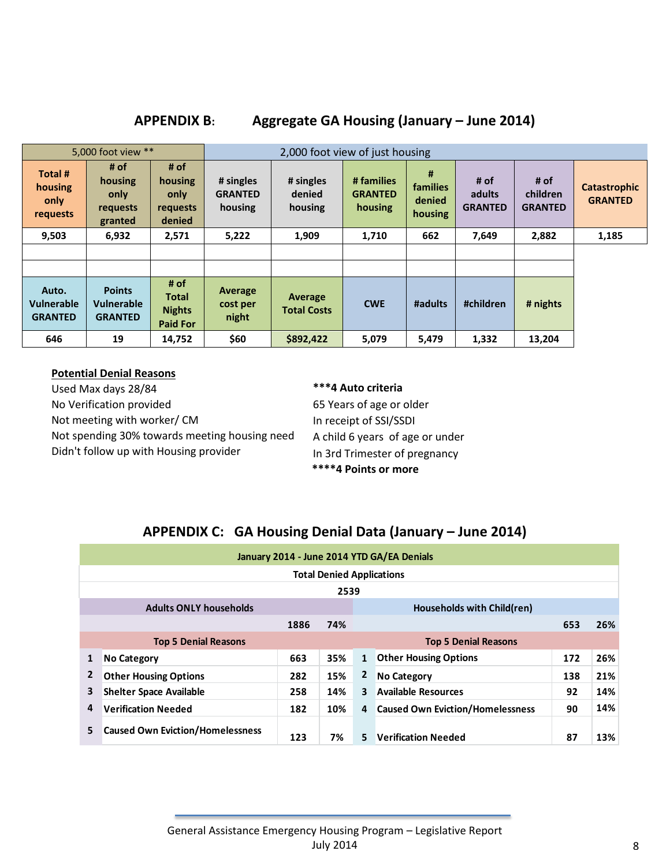**APPENDIX B: Aggregate GA Housing (January – June 2014)**

| 5,000 foot view **                           |                                                       |                                                          |                                        |                                | 2,000 foot view of just housing         |                                           |                                  |                                    |                                       |  |  |  |
|----------------------------------------------|-------------------------------------------------------|----------------------------------------------------------|----------------------------------------|--------------------------------|-----------------------------------------|-------------------------------------------|----------------------------------|------------------------------------|---------------------------------------|--|--|--|
| Total #<br>housing<br>only<br>requests       | # of<br>housing<br>only<br><b>requests</b><br>granted | # of<br>housing<br>only<br>requests<br>denied            | # singles<br><b>GRANTED</b><br>housing | # singles<br>denied<br>housing | # families<br><b>GRANTED</b><br>housing | #<br><b>families</b><br>denied<br>housing | # of<br>adults<br><b>GRANTED</b> | # of<br>children<br><b>GRANTED</b> | <b>Catastrophic</b><br><b>GRANTED</b> |  |  |  |
| 9,503                                        | 6,932                                                 | 2,571                                                    | 5,222                                  | 1,909                          | 1,710                                   | 662                                       | 7,649                            | 2,882                              | 1,185                                 |  |  |  |
|                                              |                                                       |                                                          |                                        |                                |                                         |                                           |                                  |                                    |                                       |  |  |  |
|                                              |                                                       |                                                          |                                        |                                |                                         |                                           |                                  |                                    |                                       |  |  |  |
| Auto.<br><b>Vulnerable</b><br><b>GRANTED</b> | <b>Points</b><br><b>Vulnerable</b><br><b>GRANTED</b>  | # of<br><b>Total</b><br><b>Nights</b><br><b>Paid For</b> | Average<br>cost per<br>night           | Average<br><b>Total Costs</b>  | <b>CWE</b>                              | #adults                                   | #children                        | # nights                           |                                       |  |  |  |
| 646                                          | 19                                                    | 14,752                                                   | \$60                                   | \$892,422                      | 5,079                                   | 5,479                                     | 1,332                            | 13,204                             |                                       |  |  |  |

#### **Potential Denial Reasons**

Used Max days 28/84 No Verification provided Not meeting with worker/ CM Not spending 30% towards meeting housing need Didn't follow up with Housing provider

## **\*\*\*4 Auto criteria**

65 Years of age or older In receipt of SSI/SSDI A child 6 years of age or under In 3rd Trimester of pregnancy  **\*\*\*\*4 Points or more**

# **APPENDIX C: GA Housing Denial Data (January – June 2014)**

|              | January 2014 - June 2014 YTD GA/EA Denials |     |                             |                         |                                         |     |     |  |  |  |  |  |
|--------------|--------------------------------------------|-----|-----------------------------|-------------------------|-----------------------------------------|-----|-----|--|--|--|--|--|
|              | <b>Total Denied Applications</b>           |     |                             |                         |                                         |     |     |  |  |  |  |  |
|              | 2539                                       |     |                             |                         |                                         |     |     |  |  |  |  |  |
|              | <b>Adults ONLY households</b>              |     |                             |                         | Households with Child(ren)              |     |     |  |  |  |  |  |
|              | 1886<br>74%                                |     |                             |                         |                                         |     |     |  |  |  |  |  |
|              | <b>Top 5 Denial Reasons</b>                |     | <b>Top 5 Denial Reasons</b> |                         |                                         |     |     |  |  |  |  |  |
| 1            | <b>No Category</b>                         | 663 | 35%                         | 1                       | <b>Other Housing Options</b>            | 172 | 26% |  |  |  |  |  |
| $\mathbf{2}$ | <b>Other Housing Options</b>               | 282 | 15%                         | $\mathbf{z}$            | <b>No Category</b>                      | 138 | 21% |  |  |  |  |  |
| 3            | <b>Shelter Space Available</b>             | 258 | 14%                         | $\overline{\mathbf{3}}$ | <b>Available Resources</b>              | 92  | 14% |  |  |  |  |  |
| 4            | <b>Verification Needed</b>                 | 182 | 10%                         | 4                       | <b>Caused Own Eviction/Homelessness</b> | 90  | 14% |  |  |  |  |  |
| 5            | <b>Caused Own Eviction/Homelessness</b>    | 123 | 7%                          | 5                       | <b>Verification Needed</b>              | 87  | 13% |  |  |  |  |  |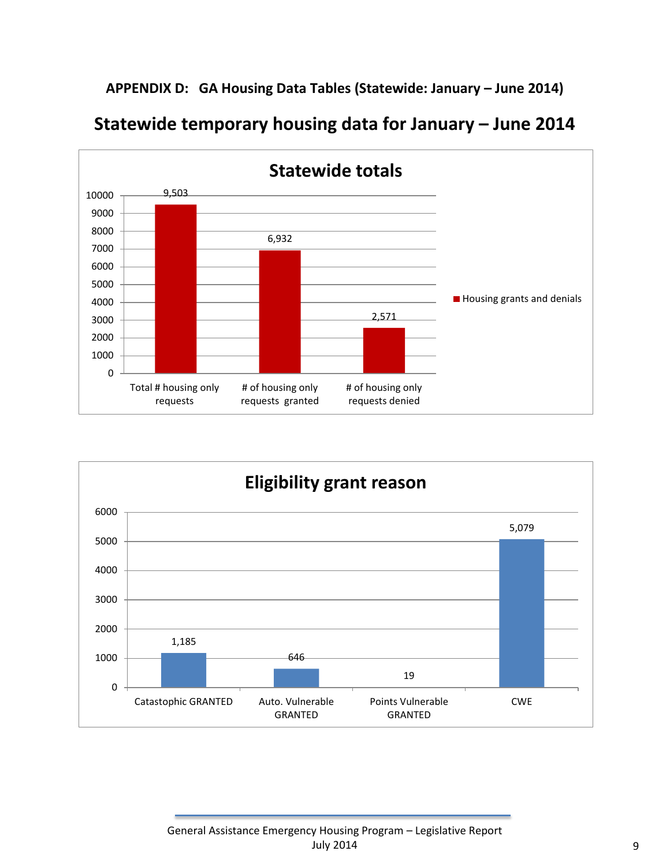**APPENDIX D: GA Housing Data Tables (Statewide: January – June 2014)**





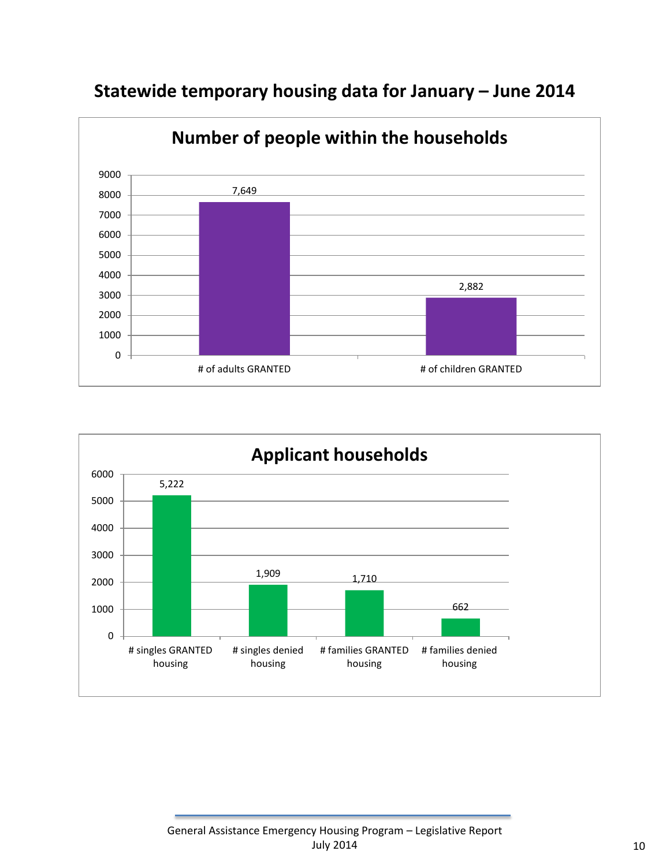

# **Statewide temporary housing data for January – June 2014**

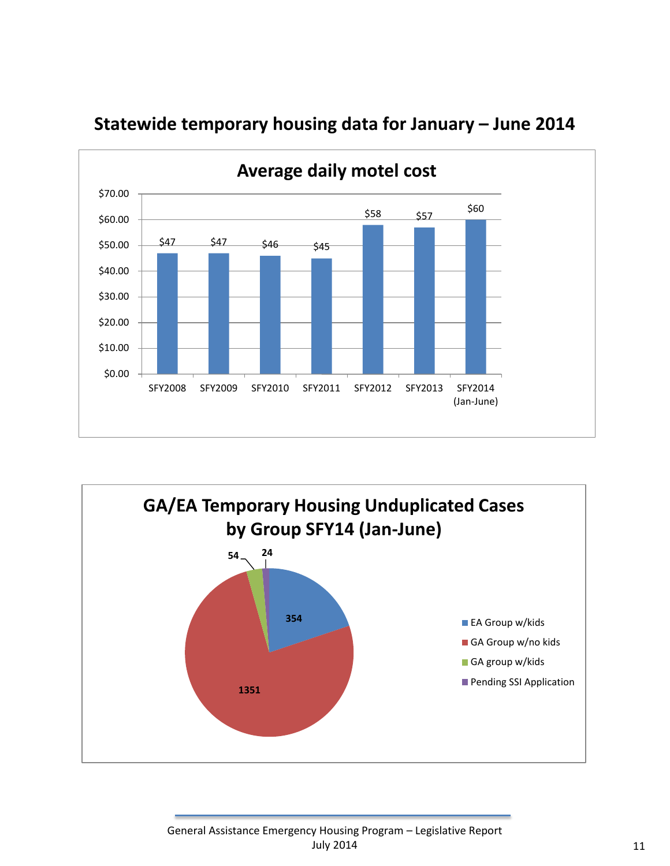

# **Statewide temporary housing data for January – June 2014**